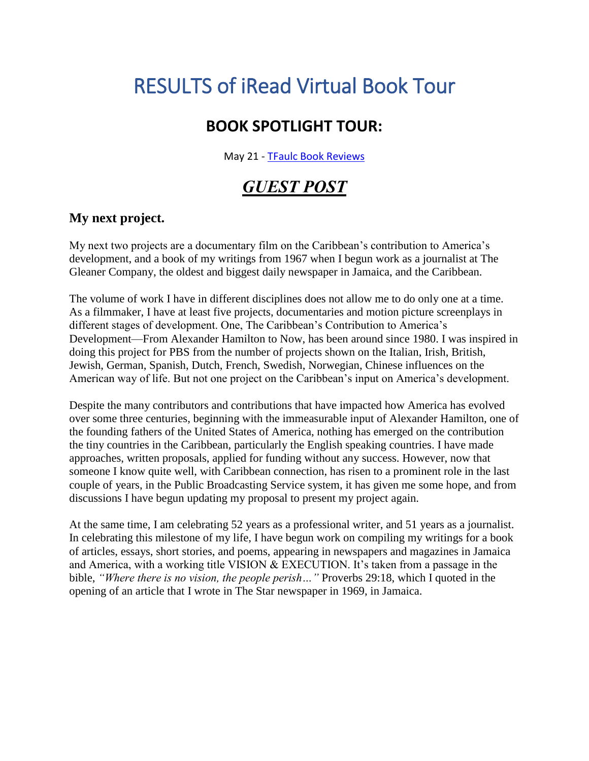# RESULTS of iRead Virtual Book Tour

## **BOOK SPOTLIGHT TOUR:**

May 21 - [TF](https://tfaulcbookreviews.wordpress.com/)[aulc Book Reviews](https://tfaulcbookreviews.wordpress.com/2018/05/21/book-spotlight-tour-a-reason-for-living-by-julian-jingles-ireadbooktours/)

## *GUEST POST*

### **My next project.**

My next two projects are a documentary film on the Caribbean's contribution to America's development, and a book of my writings from 1967 when I begun work as a journalist at The Gleaner Company, the oldest and biggest daily newspaper in Jamaica, and the Caribbean.

The volume of work I have in different disciplines does not allow me to do only one at a time. As a filmmaker, I have at least five projects, documentaries and motion picture screenplays in different stages of development. One, The Caribbean's Contribution to America's Development—From Alexander Hamilton to Now, has been around since 1980. I was inspired in doing this project for PBS from the number of projects shown on the Italian, Irish, British, Jewish, German, Spanish, Dutch, French, Swedish, Norwegian, Chinese influences on the American way of life. But not one project on the Caribbean's input on America's development.

Despite the many contributors and contributions that have impacted how America has evolved over some three centuries, beginning with the immeasurable input of Alexander Hamilton, one of the founding fathers of the United States of America, nothing has emerged on the contribution the tiny countries in the Caribbean, particularly the English speaking countries. I have made approaches, written proposals, applied for funding without any success. However, now that someone I know quite well, with Caribbean connection, has risen to a prominent role in the last couple of years, in the Public Broadcasting Service system, it has given me some hope, and from discussions I have begun updating my proposal to present my project again.

At the same time, I am celebrating 52 years as a professional writer, and 51 years as a journalist. In celebrating this milestone of my life, I have begun work on compiling my writings for a book of articles, essays, short stories, and poems, appearing in newspapers and magazines in Jamaica and America, with a working title VISION & EXECUTION. It's taken from a passage in the bible, *"Where there is no vision, the people perish…"* Proverbs 29:18, which I quoted in the opening of an article that I wrote in The Star newspaper in 1969, in Jamaica.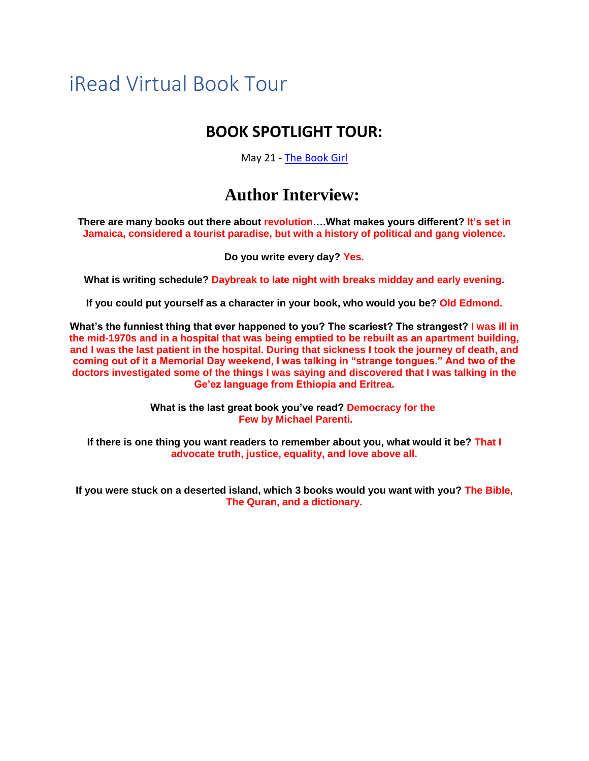## iRead Virtual Book Tour

### **BOOK SPOTLIGHT TOUR:**

May 21 - [The Book Girl](https://theyounggirlwholovedbooks.blogspot.ca/2018/05/book-tour-reason-for-living.html)

## **Author Interview:**

**There are many books out there about revolution….What makes yours different? It's set in Jamaica, considered a tourist paradise, but with a history of political and gang violence.**

**Do you write every day? Yes.**

**What is writing schedule? Daybreak to late night with breaks midday and early evening.**

**If you could put yourself as a character in your book, who would you be? Old Edmond.**

**What's the funniest thing that ever happened to you? The scariest? The strangest? I was ill in the mid-1970s and in a hospital that was being emptied to be rebuilt as an apartment building, and I was the last patient in the hospital. During that sickness I took the journey of death, and coming out of it a Memorial Day weekend, I was talking in "strange tongues." And two of the doctors investigated some of the things I was saying and discovered that I was talking in the Ge'ez language from Ethiopia and Eritrea.**

> **What is the last great book you've read? Democracy for the Few by Michael Parenti.**

**If there is one thing you want readers to remember about you, what would it be? That I advocate truth, justice, equality, and love above all.**

**If you were stuck on a deserted island, which 3 books would you want with you? The Bible, The Quran, and a dictionary.**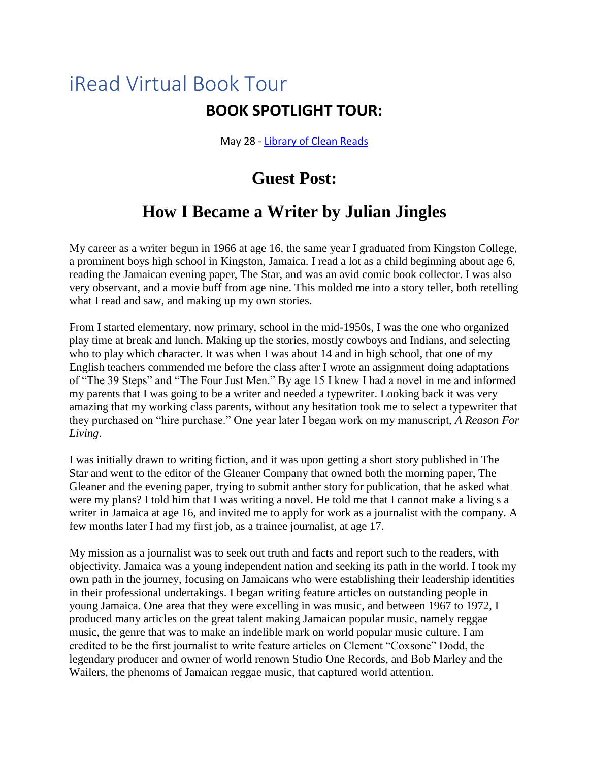May 28 - [Library of Clean Reads](https://www.libraryofcleanreads.com/2018/05/a-reason-for-living-by-julian-jingles.html)

## **Guest Post:**

## **How I Became a Writer by Julian Jingles**

My career as a writer begun in 1966 at age 16, the same year I graduated from Kingston College, a prominent boys high school in Kingston, Jamaica. I read a lot as a child beginning about age 6, reading the Jamaican evening paper, The Star, and was an avid comic book collector. I was also very observant, and a movie buff from age nine. This molded me into a story teller, both retelling what I read and saw, and making up my own stories.

From I started elementary, now primary, school in the mid-1950s, I was the one who organized play time at break and lunch. Making up the stories, mostly cowboys and Indians, and selecting who to play which character. It was when I was about 14 and in high school, that one of my English teachers commended me before the class after I wrote an assignment doing adaptations of "The 39 Steps" and "The Four Just Men." By age 15 I knew I had a novel in me and informed my parents that I was going to be a writer and needed a typewriter. Looking back it was very amazing that my working class parents, without any hesitation took me to select a typewriter that they purchased on "hire purchase." One year later I began work on my manuscript, *A Reason For Living*.

I was initially drawn to writing fiction, and it was upon getting a short story published in The Star and went to the editor of the Gleaner Company that owned both the morning paper, The Gleaner and the evening paper, trying to submit anther story for publication, that he asked what were my plans? I told him that I was writing a novel. He told me that I cannot make a living s a writer in Jamaica at age 16, and invited me to apply for work as a journalist with the company. A few months later I had my first job, as a trainee journalist, at age 17.

My mission as a journalist was to seek out truth and facts and report such to the readers, with objectivity. Jamaica was a young independent nation and seeking its path in the world. I took my own path in the journey, focusing on Jamaicans who were establishing their leadership identities in their professional undertakings. I began writing feature articles on outstanding people in young Jamaica. One area that they were excelling in was music, and between 1967 to 1972, I produced many articles on the great talent making Jamaican popular music, namely reggae music, the genre that was to make an indelible mark on world popular music culture. I am credited to be the first journalist to write feature articles on Clement "Coxsone" Dodd, the legendary producer and owner of world renown Studio One Records, and Bob Marley and the Wailers, the phenoms of Jamaican reggae music, that captured world attention.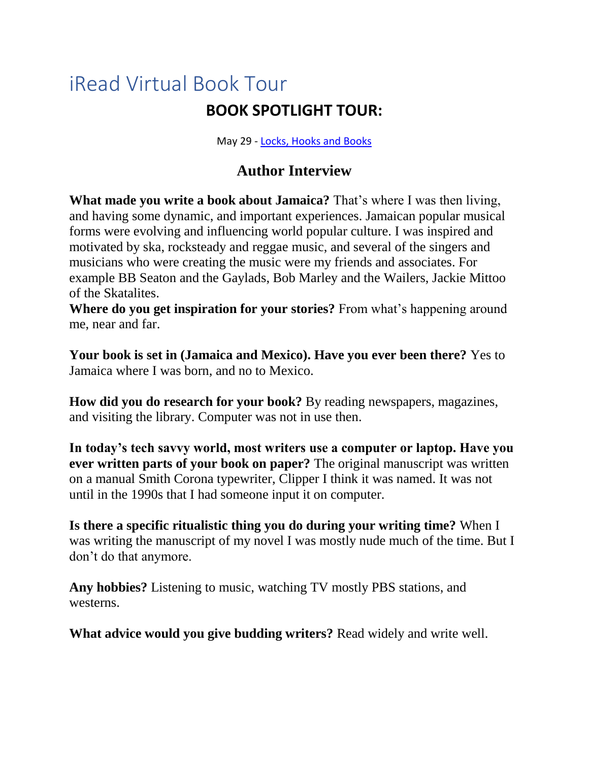May 29 - [Locks, Hooks and Books](https://amybooksy.blogspot.com/2018/05/blog-tour-and-giveaway-reason-for.html)

### **Author Interview**

**What made you write a book about Jamaica?** That's where I was then living, and having some dynamic, and important experiences. Jamaican popular musical forms were evolving and influencing world popular culture. I was inspired and motivated by ska, rocksteady and reggae music, and several of the singers and musicians who were creating the music were my friends and associates. For example BB Seaton and the Gaylads, Bob Marley and the Wailers, Jackie Mittoo of the Skatalites.

**Where do you get inspiration for your stories?** From what's happening around me, near and far.

**Your book is set in (Jamaica and Mexico). Have you ever been there?** Yes to Jamaica where I was born, and no to Mexico.

**How did you do research for your book?** By reading newspapers, magazines, and visiting the library. Computer was not in use then.

**In today's tech savvy world, most writers use a computer or laptop. Have you ever written parts of your book on paper?** The original manuscript was written on a manual Smith Corona typewriter, Clipper I think it was named. It was not until in the 1990s that I had someone input it on computer.

**Is there a specific ritualistic thing you do during your writing time?** When I was writing the manuscript of my novel I was mostly nude much of the time. But I don't do that anymore.

**Any hobbies?** Listening to music, watching TV mostly PBS stations, and westerns.

**What advice would you give budding writers?** Read widely and write well.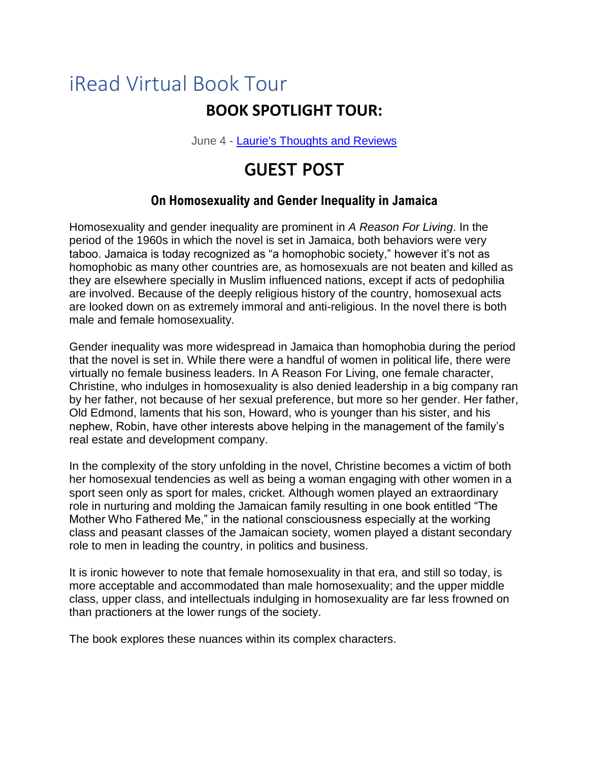June 4 - [Laurie's Thoughts and Reviews](http://lauries-interviews.blogspot.com/2018/06/a-reason-for-living-by-julian-jingles.html)

## **GUEST POST**

### **On Homosexuality and Gender Inequality in Jamaica**

Homosexuality and gender inequality are prominent in *A Reason For Living*. In the period of the 1960s in which the novel is set in Jamaica, both behaviors were very taboo. Jamaica is today recognized as "a homophobic society," however it's not as homophobic as many other countries are, as homosexuals are not beaten and killed as they are elsewhere specially in Muslim influenced nations, except if acts of pedophilia are involved. Because of the deeply religious history of the country, homosexual acts are looked down on as extremely immoral and anti-religious. In the novel there is both male and female homosexuality.

Gender inequality was more widespread in Jamaica than homophobia during the period that the novel is set in. While there were a handful of women in political life, there were virtually no female business leaders. In A Reason For Living, one female character, Christine, who indulges in homosexuality is also denied leadership in a big company ran by her father, not because of her sexual preference, but more so her gender. Her father, Old Edmond, laments that his son, Howard, who is younger than his sister, and his nephew, Robin, have other interests above helping in the management of the family's real estate and development company.

In the complexity of the story unfolding in the novel, Christine becomes a victim of both her homosexual tendencies as well as being a woman engaging with other women in a sport seen only as sport for males, cricket. Although women played an extraordinary role in nurturing and molding the Jamaican family resulting in one book entitled "The Mother Who Fathered Me," in the national consciousness especially at the working class and peasant classes of the Jamaican society, women played a distant secondary role to men in leading the country, in politics and business.

It is ironic however to note that female homosexuality in that era, and still so today, is more acceptable and accommodated than male homosexuality; and the upper middle class, upper class, and intellectuals indulging in homosexuality are far less frowned on than practioners at the lower rungs of the society.

The book explores these nuances within its complex characters.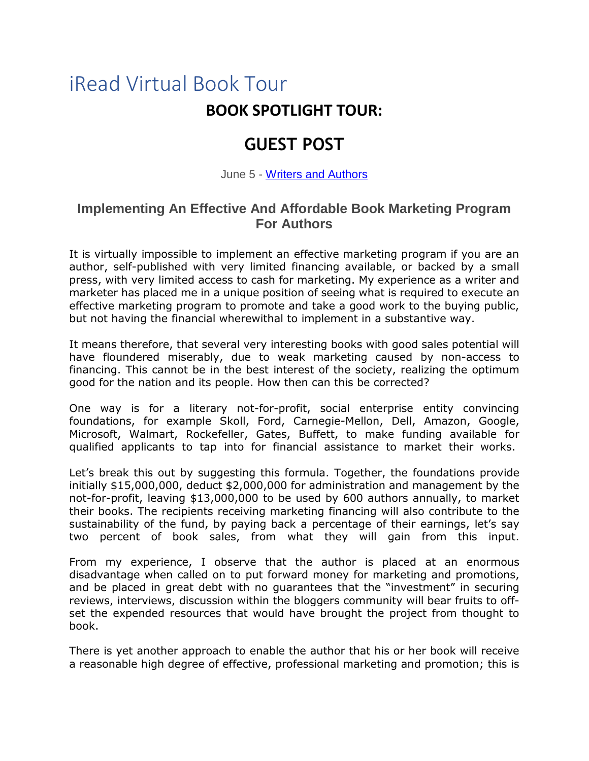## **GUEST POST**

June 5 - [Writers and Authors](http://www.writersandauthors.info/2018/06/implementing-effective-and-affordable.html)

### **Implementing An Effective And Affordable Book Marketing Program For Authors**

It is virtually impossible to implement an effective marketing program if you are an author, self-published with very limited financing available, or backed by a small press, with very limited access to cash for marketing. My experience as a writer and marketer has placed me in a unique position of seeing what is required to execute an effective marketing program to promote and take a good work to the buying public, but not having the financial wherewithal to implement in a substantive way.

It means therefore, that several very interesting books with good sales potential will have floundered miserably, due to weak marketing caused by non-access to financing. This cannot be in the best interest of the society, realizing the optimum good for the nation and its people. How then can this be corrected?

One way is for a literary not-for-profit, social enterprise entity convincing foundations, for example Skoll, Ford, Carnegie-Mellon, Dell, Amazon, Google, Microsoft, Walmart, Rockefeller, Gates, Buffett, to make funding available for qualified applicants to tap into for financial assistance to market their works.

Let's break this out by suggesting this formula. Together, the foundations provide initially \$15,000,000, deduct \$2,000,000 for administration and management by the not-for-profit, leaving \$13,000,000 to be used by 600 authors annually, to market their books. The recipients receiving marketing financing will also contribute to the sustainability of the fund, by paying back a percentage of their earnings, let's say two percent of book sales, from what they will gain from this input.

From my experience, I observe that the author is placed at an enormous disadvantage when called on to put forward money for marketing and promotions, and be placed in great debt with no guarantees that the "investment" in securing reviews, interviews, discussion within the bloggers community will bear fruits to offset the expended resources that would have brought the project from thought to book.

There is yet another approach to enable the author that his or her book will receive a reasonable high degree of effective, professional marketing and promotion; this is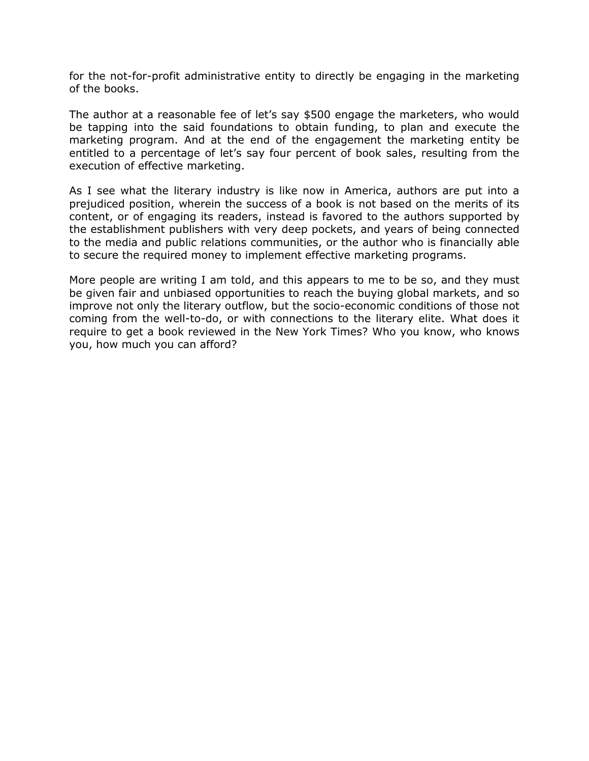for the not-for-profit administrative entity to directly be engaging in the marketing of the books.

The author at a reasonable fee of let's say \$500 engage the marketers, who would be tapping into the said foundations to obtain funding, to plan and execute the marketing program. And at the end of the engagement the marketing entity be entitled to a percentage of let's say four percent of book sales, resulting from the execution of effective marketing.

As I see what the literary industry is like now in America, authors are put into a prejudiced position, wherein the success of a book is not based on the merits of its content, or of engaging its readers, instead is favored to the authors supported by the establishment publishers with very deep pockets, and years of being connected to the media and public relations communities, or the author who is financially able to secure the required money to implement effective marketing programs.

More people are writing I am told, and this appears to me to be so, and they must be given fair and unbiased opportunities to reach the buying global markets, and so improve not only the literary outflow, but the socio-economic conditions of those not coming from the well-to-do, or with connections to the literary elite. What does it require to get a book reviewed in the New York Times? Who you know, who knows you, how much you can afford?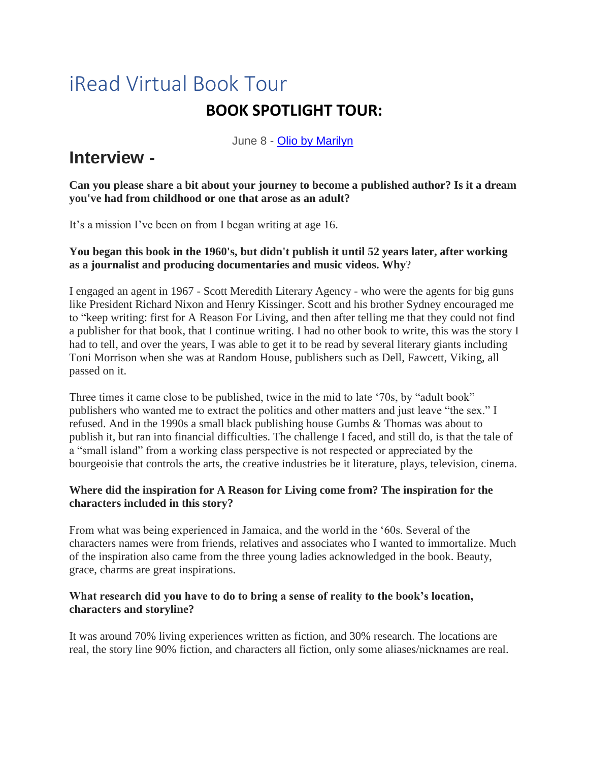June 8 - [Olio by Marilyn](http://www.oliobymarilyn.com/2018/06/a-reason-for-living-by-julian-jingles.html)

## **Interview -**

**Can you please share a bit about your journey to become a published author? Is it a dream you've had from childhood or one that arose as an adult?**

It's a mission I've been on from I began writing at age 16.

### **You began this book in the 1960's, but didn't publish it until 52 years later, after working as a journalist and producing documentaries and music videos. Why**?

I engaged an agent in 1967 - Scott Meredith Literary Agency - who were the agents for big guns like President Richard Nixon and Henry Kissinger. Scott and his brother Sydney encouraged me to "keep writing: first for A Reason For Living, and then after telling me that they could not find a publisher for that book, that I continue writing. I had no other book to write, this was the story I had to tell, and over the years, I was able to get it to be read by several literary giants including Toni Morrison when she was at Random House, publishers such as Dell, Fawcett, Viking, all passed on it.

Three times it came close to be published, twice in the mid to late '70s, by "adult book" publishers who wanted me to extract the politics and other matters and just leave "the sex." I refused. And in the 1990s a small black publishing house Gumbs & Thomas was about to publish it, but ran into financial difficulties. The challenge I faced, and still do, is that the tale of a "small island" from a working class perspective is not respected or appreciated by the bourgeoisie that controls the arts, the creative industries be it literature, plays, television, cinema.

### **Where did the inspiration for A Reason for Living come from? The inspiration for the characters included in this story?**

From what was being experienced in Jamaica, and the world in the '60s. Several of the characters names were from friends, relatives and associates who I wanted to immortalize. Much of the inspiration also came from the three young ladies acknowledged in the book. Beauty, grace, charms are great inspirations.

### **What research did you have to do to bring a sense of reality to the book's location, characters and storyline?**

It was around 70% living experiences written as fiction, and 30% research. The locations are real, the story line 90% fiction, and characters all fiction, only some aliases/nicknames are real.